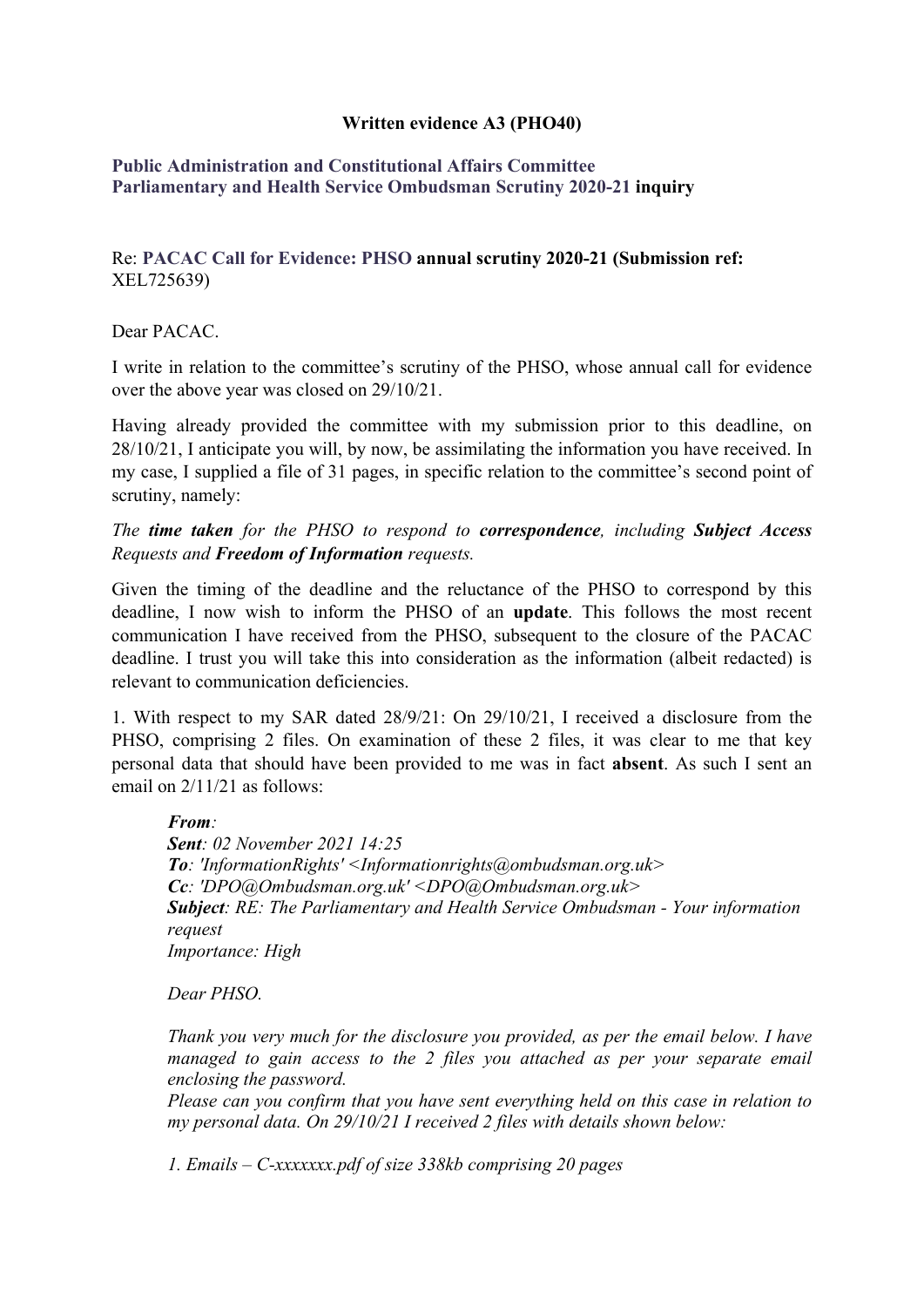## **Written evidence A3 (PHO40)**

## **[Public](https://admin.committees.parliament.uk/Committee/Edit/327) [Administration](https://admin.committees.parliament.uk/Committee/Edit/327) [and](https://admin.committees.parliament.uk/Committee/Edit/327) [Constitutional](https://admin.committees.parliament.uk/Committee/Edit/327) [Affairs](https://admin.committees.parliament.uk/Committee/Edit/327) [Committee](https://admin.committees.parliament.uk/Committee/Edit/327) [Parliamentary](https://admin.committees.parliament.uk/Committee/327/CommitteeBusiness/Edit/1503) [and](https://admin.committees.parliament.uk/Committee/327/CommitteeBusiness/Edit/1503) [Health](https://admin.committees.parliament.uk/Committee/327/CommitteeBusiness/Edit/1503) [Service](https://admin.committees.parliament.uk/Committee/327/CommitteeBusiness/Edit/1503) [Ombudsman](https://admin.committees.parliament.uk/Committee/327/CommitteeBusiness/Edit/1503) [Scrutiny](https://admin.committees.parliament.uk/Committee/327/CommitteeBusiness/Edit/1503) [2020-21](https://admin.committees.parliament.uk/Committee/327/CommitteeBusiness/Edit/1503) inquiry**

## Re: **PACAC Call for Evidence: PHSO annual scrutiny 2020-21 (Submission ref:** XEL725639)

Dear PACAC.

I write in relation to the committee's scrutiny of the PHSO, whose annual call for evidence over the above year was closed on 29/10/21.

Having already provided the committee with my submission prior to this deadline, on 28/10/21, I anticipate you will, by now, be assimilating the information you have received. In my case, I supplied a file of 31 pages, in specific relation to the committee's second point of scrutiny, namely:

*The time taken for the PHSO to respond to correspondence, including Subject Access Requests and Freedom of Information requests.*

Given the timing of the deadline and the reluctance of the PHSO to correspond by this deadline, I now wish to inform the PHSO of an **update**. This follows the most recent communication I have received from the PHSO, subsequent to the closure of the PACAC deadline. I trust you will take this into consideration as the information (albeit redacted) is relevant to communication deficiencies.

1. With respect to my SAR dated 28/9/21: On 29/10/21, I received a disclosure from the PHSO, comprising 2 files. On examination of these 2 files, it was clear to me that key personal data that should have been provided to me was in fact **absent**. As such I sent an email on 2/11/21 as follows:

*From: Sent: 02 November 2021 14:25 To: 'InformationRights' <Informationrights@ombudsman.org.uk> Cc: 'DPO@Ombudsman.org.uk' <DPO@Ombudsman.org.uk> Subject: RE: The Parliamentary and Health Service Ombudsman - Your information request Importance: High*

*Dear PHSO.*

*Thank you very much for the disclosure you provided, as per the email below. I have managed to gain access to the 2 files you attached as per your separate email enclosing the password.*

*Please can you confirm that you have sent everything held on this case in relation to my personal data. On 29/10/21 I received 2 files with details shown below:*

*1. Emails – C-xxxxxxx.pdf of size 338kb comprising 20 pages*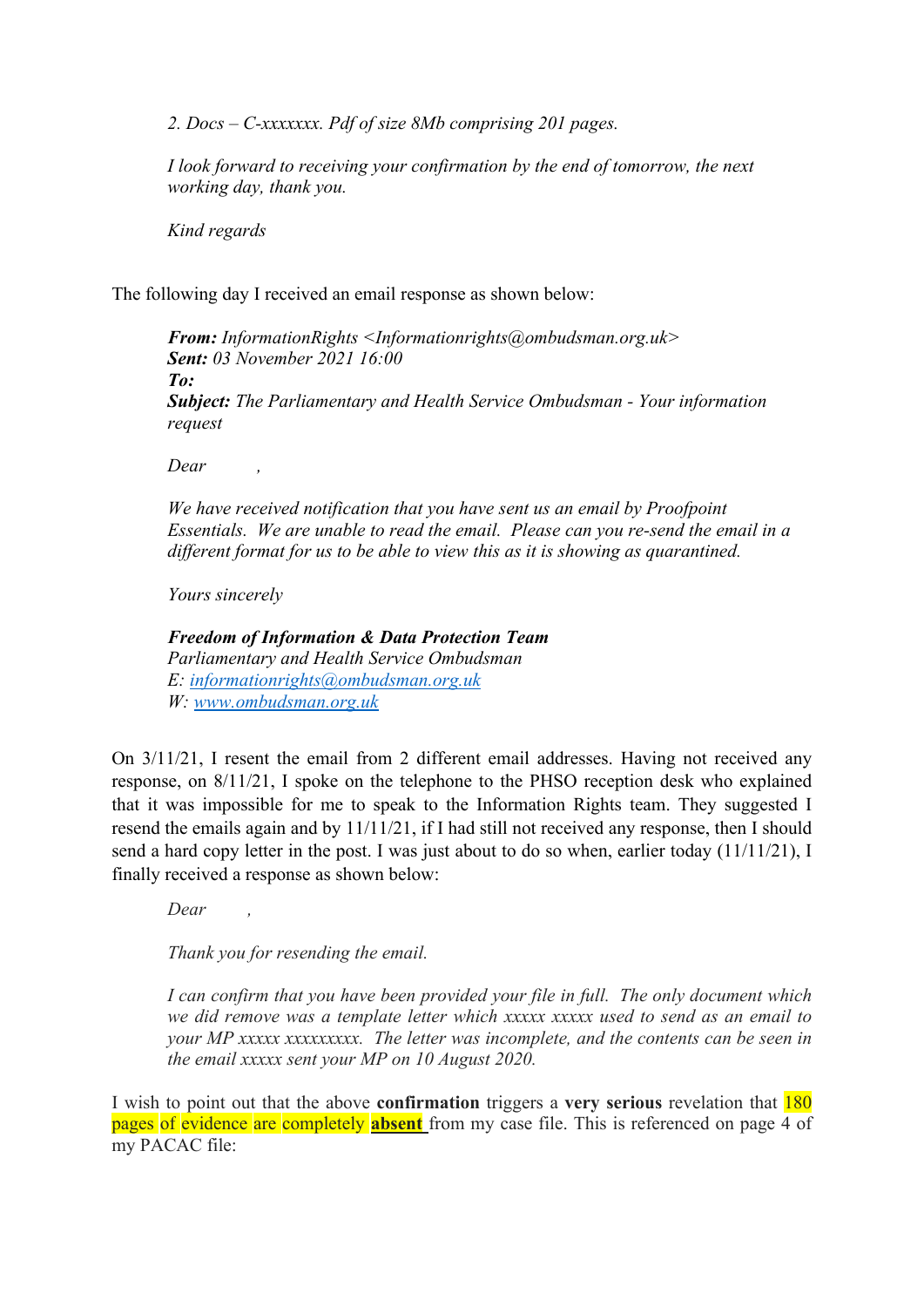*2. Docs – C-xxxxxxx. Pdf of size 8Mb comprising 201 pages.*

*I look forward to receiving your confirmation by the end of tomorrow, the next working day, thank you.*

*Kind regards*

The following day I received an email response as shown below:

*From: InformationRights <Informationrights@ombudsman.org.uk> Sent: 03 November 2021 16:00 To: Subject: The Parliamentary and Health Service Ombudsman - Your information request*

*Dear ,*

*We have received notification that you have sent us an email by Proofpoint Essentials. We are unable to read the email. Please can you re-send the email in a different format for us to be able to view this as it is showing as quarantined.*

*Yours sincerely*

*Freedom of Information & Data Protection Team Parliamentary and Health Service Ombudsman E: [informationrights@ombudsman.org.uk](mailto:informationrights@ombudsman.org.uk) W: [www.ombudsman.org.uk](https://urldefense.proofpoint.com/v2/url?u=http-3A__www.ombudsman.org.uk&d=DwMFAg&c=euGZstcaTDllvimEN8b7jXrwqOf-v5A_CdpgnVfiiMM&r=ahQFLLBqGvyMiCxHZ5I26SllyrwHAR13LIV0Yzv1KCDFoZrB4p0AILSINPPfEjbx&m=rOkQJTZTT0q0DiaO3qV1OFvBHirdyguxV9azfUeMWHY&s=oZlOsYsTe4gYC-ow45EgTahU4nDIDsWZtE8j4c6b0SY&e=)*

On 3/11/21, I resent the email from 2 different email addresses. Having not received any response, on 8/11/21, I spoke on the telephone to the PHSO reception desk who explained that it was impossible for me to speak to the Information Rights team. They suggested I resend the emails again and by 11/11/21, if I had still not received any response, then I should send a hard copy letter in the post. I was just about to do so when, earlier today (11/11/21), I finally received a response as shown below:

*Dear ,*

*Thank you for resending the email.*

*I can confirm that you have been provided your file in full. The only document which we did remove was a template letter which xxxxx xxxxx used to send as an email to your MP xxxxx xxxxxxxxx. The letter was incomplete, and the contents can be seen in the email xxxxx sent your MP on 10 August 2020.*

I wish to point out that the above **confirmation** triggers a **very serious** revelation that 180 pages of evidence are completely **absent** from my case file. This is referenced on page 4 of my PACAC file: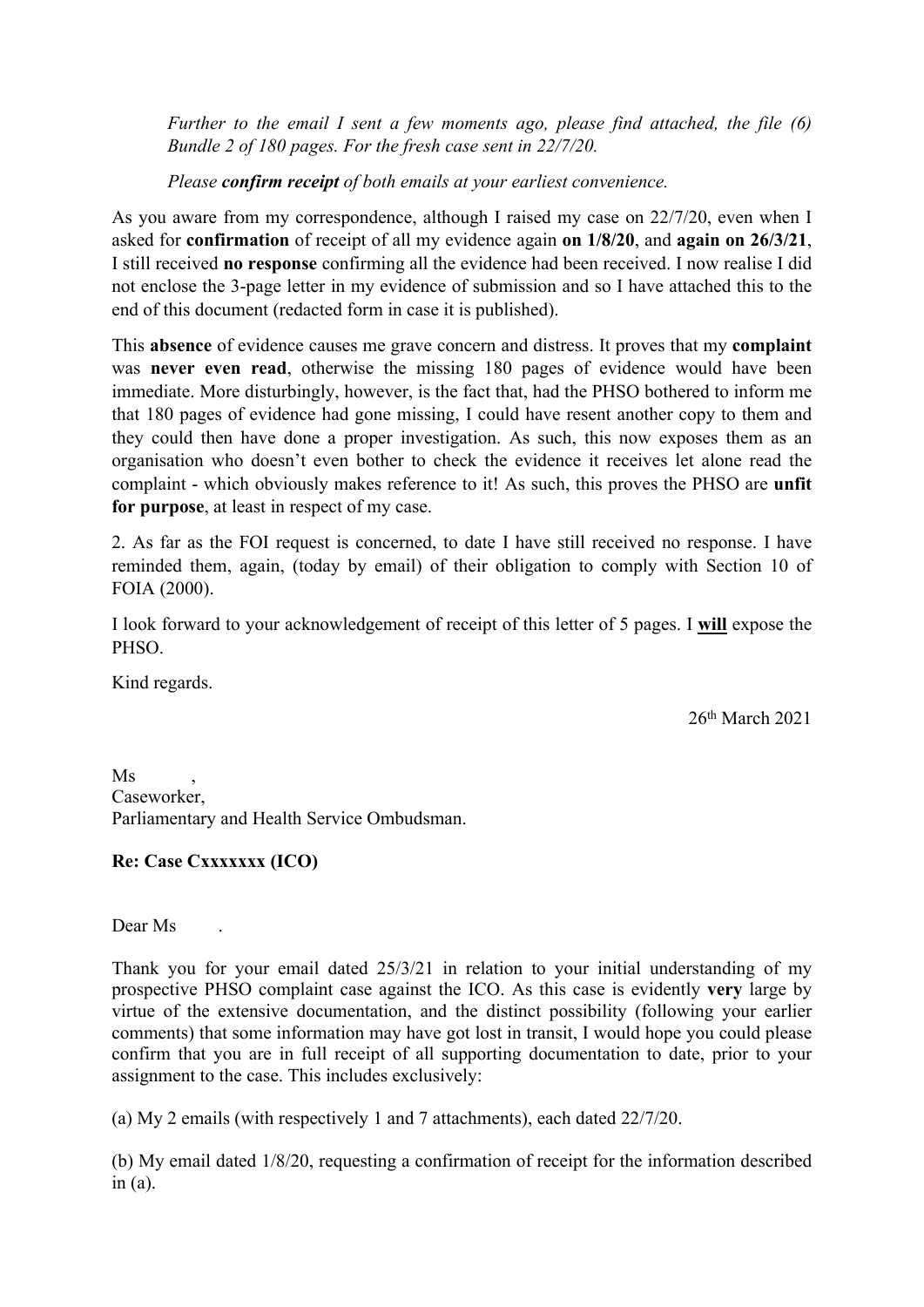*Further to the email I sent a few moments ago, please find attached, the file (6) Bundle 2 of 180 pages. For the fresh case sent in 22/7/20.*

*Please confirm receipt of both emails at your earliest convenience.*

As you aware from my correspondence, although I raised my case on 22/7/20, even when I asked for **confirmation** of receipt of all my evidence again **on 1/8/20**, and **again on 26/3/21**, I still received **no response** confirming all the evidence had been received. I now realise I did not enclose the 3-page letter in my evidence of submission and so I have attached this to the end of this document (redacted form in case it is published).

This **absence** of evidence causes me grave concern and distress. It proves that my **complaint** was **never even read**, otherwise the missing 180 pages of evidence would have been immediate. More disturbingly, however, is the fact that, had the PHSO bothered to inform me that 180 pages of evidence had gone missing, I could have resent another copy to them and they could then have done a proper investigation. As such, this now exposes them as an organisation who doesn't even bother to check the evidence it receives let alone read the complaint - which obviously makes reference to it! As such, this proves the PHSO are **unfit for purpose**, at least in respect of my case.

2. As far as the FOI request is concerned, to date I have still received no response. I have reminded them, again, (today by email) of their obligation to comply with Section 10 of FOIA (2000).

I look forward to your acknowledgement of receipt of this letter of 5 pages. I **will** expose the PHSO.

Kind regards.

26th March 2021

 $Ms$ Caseworker, Parliamentary and Health Service Ombudsman.

## **Re: Case Cxxxxxxx (ICO)**

Dear Ms .

Thank you for your email dated 25/3/21 in relation to your initial understanding of my prospective PHSO complaint case against the ICO. As this case is evidently **very** large by virtue of the extensive documentation, and the distinct possibility (following your earlier comments) that some information may have got lost in transit, I would hope you could please confirm that you are in full receipt of all supporting documentation to date, prior to your assignment to the case. This includes exclusively:

(a) My 2 emails (with respectively 1 and 7 attachments), each dated 22/7/20.

(b) My email dated 1/8/20, requesting a confirmation of receipt for the information described in  $(a)$ .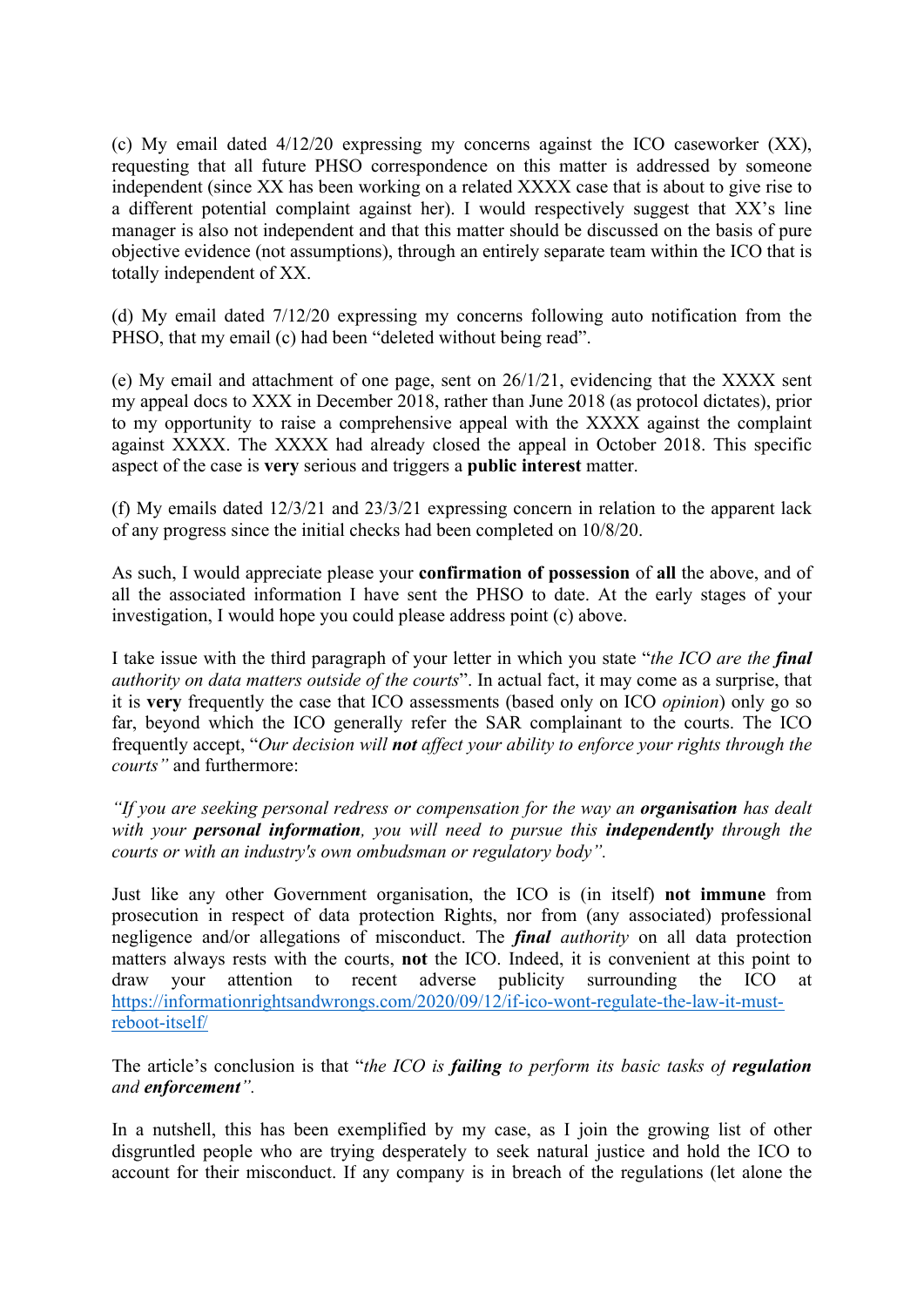(c) My email dated 4/12/20 expressing my concerns against the ICO caseworker (XX), requesting that all future PHSO correspondence on this matter is addressed by someone independent (since XX has been working on a related XXXX case that is about to give rise to a different potential complaint against her). I would respectively suggest that XX's line manager is also not independent and that this matter should be discussed on the basis of pure objective evidence (not assumptions), through an entirely separate team within the ICO that is totally independent of XX.

(d) My email dated 7/12/20 expressing my concerns following auto notification from the PHSO, that my email (c) had been "deleted without being read".

(e) My email and attachment of one page, sent on 26/1/21, evidencing that the XXXX sent my appeal docs to XXX in December 2018, rather than June 2018 (as protocol dictates), prior to my opportunity to raise a comprehensive appeal with the XXXX against the complaint against XXXX. The XXXX had already closed the appeal in October 2018. This specific aspect of the case is **very** serious and triggers a **public interest** matter.

(f) My emails dated 12/3/21 and 23/3/21 expressing concern in relation to the apparent lack of any progress since the initial checks had been completed on 10/8/20.

As such, I would appreciate please your **confirmation of possession** of **all** the above, and of all the associated information I have sent the PHSO to date. At the early stages of your investigation, I would hope you could please address point (c) above.

I take issue with the third paragraph of your letter in which you state "*the ICO are the final authority on data matters outside of the courts*". In actual fact, it may come as a surprise, that it is **very** frequently the case that ICO assessments (based only on ICO *opinion*) only go so far, beyond which the ICO generally refer the SAR complainant to the courts. The ICO frequently accept, "*Our decision will not affect your ability to enforce your rights through the courts"* and furthermore:

*"If you are seeking personal redress or compensation for the way an organisation has dealt with your personal information, you will need to pursue this independently through the courts or with an industry's own ombudsman or regulatory body".*

Just like any other Government organisation, the ICO is (in itself) **not immune** from prosecution in respect of data protection Rights, nor from (any associated) professional negligence and/or allegations of misconduct. The *final authority* on all data protection matters always rests with the courts, **not** the ICO. Indeed, it is convenient at this point to draw your attention to recent adverse publicity surrounding the ICO at [https://informationrightsandwrongs.com/2020/09/12/if-ico-wont-regulate-the-law-it-must](https://informationrightsandwrongs.com/2020/09/12/if-ico-wont-regulate-the-law-it-must-reboot-itself/)[reboot-itself/](https://informationrightsandwrongs.com/2020/09/12/if-ico-wont-regulate-the-law-it-must-reboot-itself/) 

The article's conclusion is that "*the ICO is failing to perform its basic tasks of regulation and enforcement".*

In a nutshell, this has been exemplified by my case, as I join the growing list of other disgruntled people who are trying desperately to seek natural justice and hold the ICO to account for their misconduct. If any company is in breach of the regulations (let alone the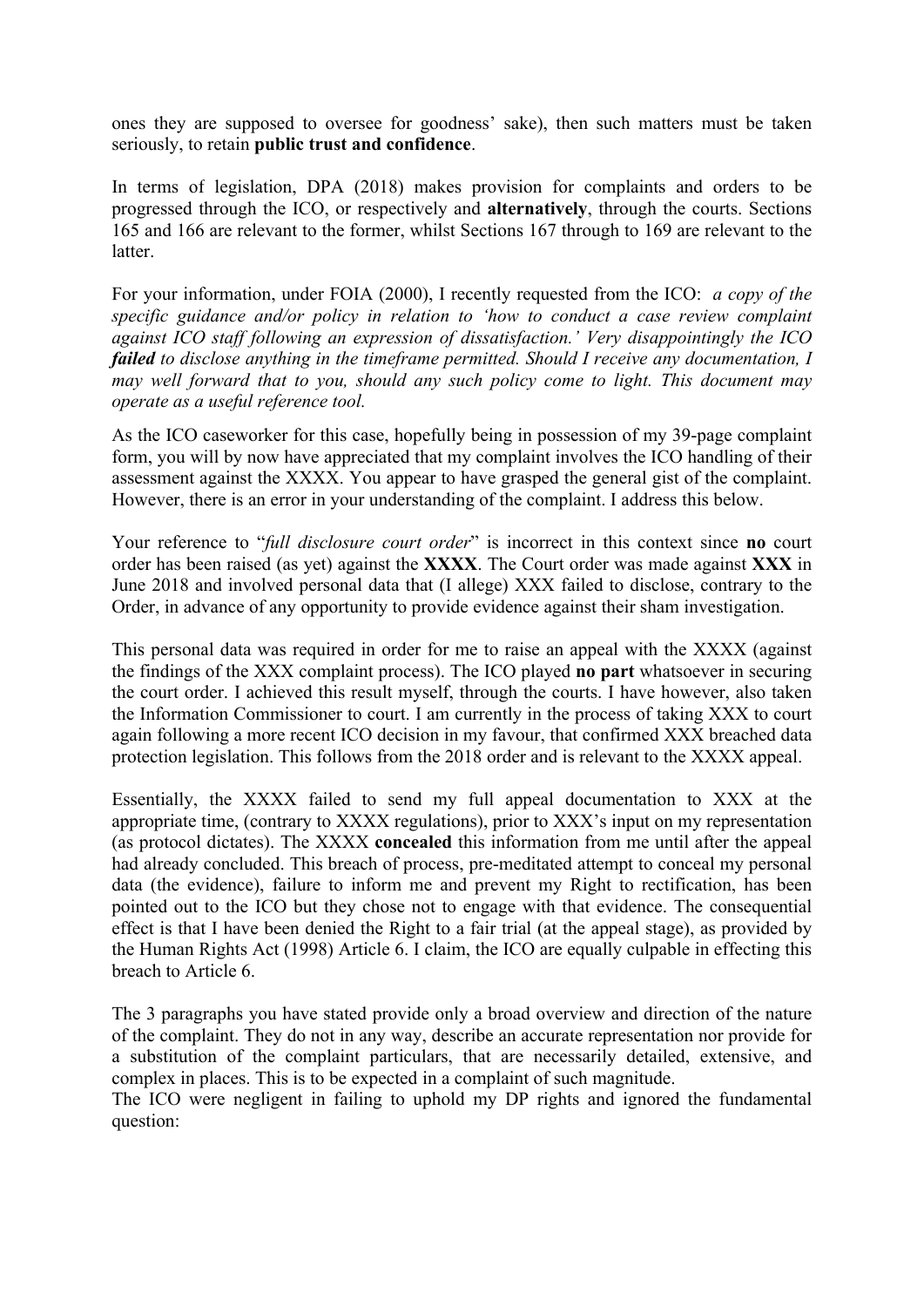ones they are supposed to oversee for goodness' sake), then such matters must be taken seriously, to retain **public trust and confidence**.

In terms of legislation, DPA (2018) makes provision for complaints and orders to be progressed through the ICO, or respectively and **alternatively**, through the courts. Sections 165 and 166 are relevant to the former, whilst Sections 167 through to 169 are relevant to the latter.

For your information, under FOIA (2000), I recently requested from the ICO: *a copy of the specific guidance and/or policy in relation to 'how to conduct a case review complaint against ICO staff following an expression of dissatisfaction.' Very disappointingly the ICO failed to disclose anything in the timeframe permitted. Should I receive any documentation, I may well forward that to you, should any such policy come to light. This document may operate as a useful reference tool.*

As the ICO caseworker for this case, hopefully being in possession of my 39-page complaint form, you will by now have appreciated that my complaint involves the ICO handling of their assessment against the XXXX. You appear to have grasped the general gist of the complaint. However, there is an error in your understanding of the complaint. I address this below.

Your reference to "*full disclosure court order*" is incorrect in this context since **no** court order has been raised (as yet) against the **XXXX**. The Court order was made against **XXX** in June 2018 and involved personal data that (I allege) XXX failed to disclose, contrary to the Order, in advance of any opportunity to provide evidence against their sham investigation.

This personal data was required in order for me to raise an appeal with the XXXX (against the findings of the XXX complaint process). The ICO played **no part** whatsoever in securing the court order. I achieved this result myself, through the courts. I have however, also taken the Information Commissioner to court. I am currently in the process of taking XXX to court again following a more recent ICO decision in my favour, that confirmed XXX breached data protection legislation. This follows from the 2018 order and is relevant to the XXXX appeal.

Essentially, the XXXX failed to send my full appeal documentation to XXX at the appropriate time, (contrary to XXXX regulations), prior to XXX's input on my representation (as protocol dictates). The XXXX **concealed** this information from me until after the appeal had already concluded. This breach of process, pre-meditated attempt to conceal my personal data (the evidence), failure to inform me and prevent my Right to rectification, has been pointed out to the ICO but they chose not to engage with that evidence. The consequential effect is that I have been denied the Right to a fair trial (at the appeal stage), as provided by the Human Rights Act (1998) Article 6. I claim, the ICO are equally culpable in effecting this breach to Article 6.

The 3 paragraphs you have stated provide only a broad overview and direction of the nature of the complaint. They do not in any way, describe an accurate representation nor provide for a substitution of the complaint particulars, that are necessarily detailed, extensive, and complex in places. This is to be expected in a complaint of such magnitude.

The ICO were negligent in failing to uphold my DP rights and ignored the fundamental question: